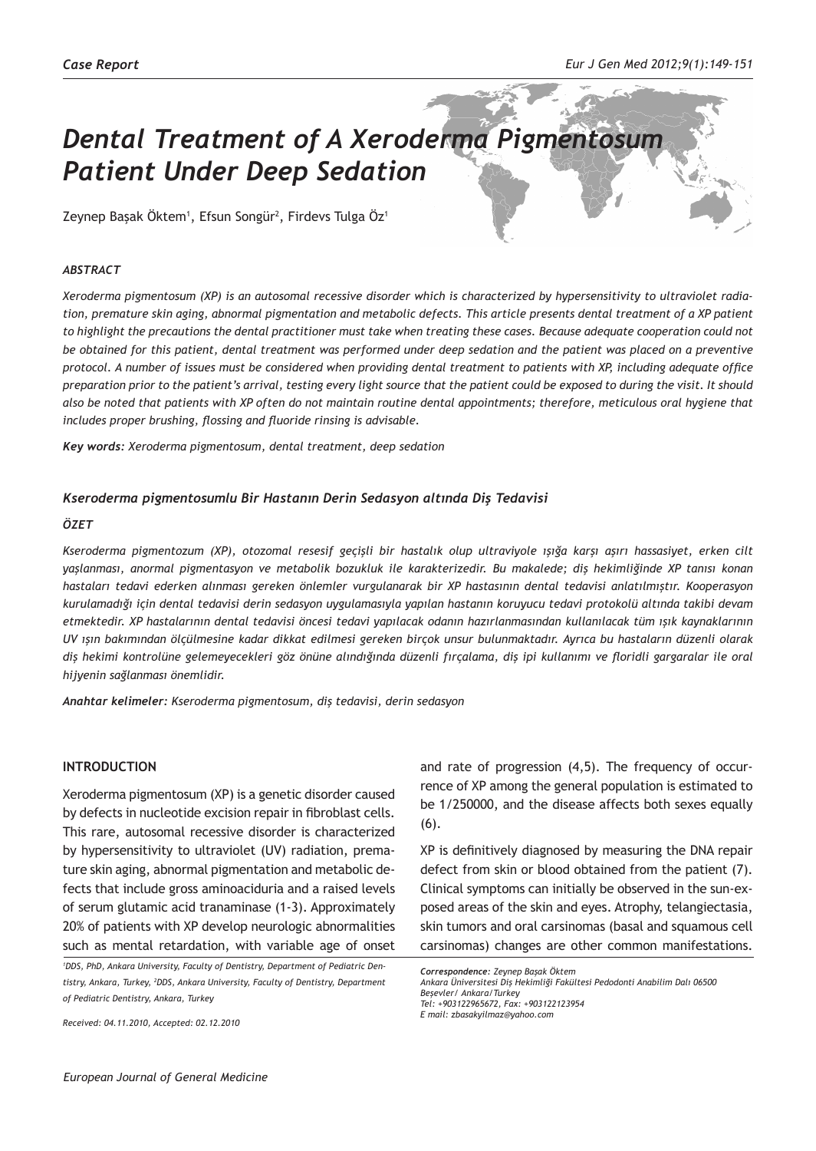# *Dental Treatment of A Xeroderma Pigmentosum Patient Under Deep Sedation*

Zeynep Başak Öktem<sup>ı</sup>, Efsun Songür<sup>2</sup>, Firdevs Tulga Öz<sup>1</sup>

## *ABSTRACT*

*Xeroderma pigmentosum (XP) is an autosomal recessive disorder which is characterized by hypersensitivity to ultraviolet radiation, premature skin aging, abnormal pigmentation and metabolic defects. This article presents dental treatment of a XP patient to highlight the precautions the dental practitioner must take when treating these cases. Because adequate cooperation could not be obtained for this patient, dental treatment was performed under deep sedation and the patient was placed on a preventive protocol. A number of issues must be considered when providing dental treatment to patients with XP, including adequate office preparation prior to the patient's arrival, testing every light source that the patient could be exposed to during the visit. It should also be noted that patients with XP often do not maintain routine dental appointments; therefore, meticulous oral hygiene that includes proper brushing, flossing and fluoride rinsing is advisable.*

*Key words: Xeroderma pigmentosum, dental treatment, deep sedation*

## *Kseroderma pigmentosumlu Bir Hastanın Derin Sedasyon altında Diş Tedavisi*

## *ÖZET*

*Kseroderma pigmentozum (XP), otozomal resesif geçişli bir hastalık olup ultraviyole ışığa karşı aşırı hassasiyet, erken cilt yaşlanması, anormal pigmentasyon ve metabolik bozukluk ile karakterizedir. Bu makalede; diş hekimliğinde XP tanısı konan hastaları tedavi ederken alınması gereken önlemler vurgulanarak bir XP hastasının dental tedavisi anlatılmıştır. Kooperasyon kurulamadığı için dental tedavisi derin sedasyon uygulamasıyla yapılan hastanın koruyucu tedavi protokolü altında takibi devam etmektedir. XP hastalarının dental tedavisi öncesi tedavi yapılacak odanın hazırlanmasından kullanılacak tüm ışık kaynaklarının UV ışın bakımından ölçülmesine kadar dikkat edilmesi gereken birçok unsur bulunmaktadır. Ayrıca bu hastaların düzenli olarak diş hekimi kontrolüne gelemeyecekleri göz önüne alındığında düzenli fırçalama, diş ipi kullanımı ve floridli gargaralar ile oral hijyenin sağlanması önemlidir.*

*Anahtar kelimeler: Kseroderma pigmentosum, diş tedavisi, derin sedasyon*

## **INTRODUCTION**

Xeroderma pigmentosum (XP) is a genetic disorder caused by defects in nucleotide excision repair in fibroblast cells. This rare, autosomal recessive disorder is characterized by hypersensitivity to ultraviolet (UV) radiation, premature skin aging, abnormal pigmentation and metabolic defects that include gross aminoaciduria and a raised levels of serum glutamic acid tranaminase (1-3). Approximately 20% of patients with XP develop neurologic abnormalities such as mental retardation, with variable age of onset

*1 DDS, PhD, Ankara University, Faculty of Dentistry, Department of Pediatric Dentistry, Ankara, Turkey, 2 DDS, Ankara University, Faculty of Dentistry, Department of Pediatric Dentistry, Ankara, Turkey*

*Received: 04.11.2010, Accepted: 02.12.2010*

and rate of progression (4,5). The frequency of occurrence of XP among the general population is estimated to be 1/250000, and the disease affects both sexes equally (6).

XP is definitively diagnosed by measuring the DNA repair defect from skin or blood obtained from the patient (7). Clinical symptoms can initially be observed in the sun-exposed areas of the skin and eyes. Atrophy, telangiectasia, skin tumors and oral carsinomas (basal and squamous cell carsinomas) changes are other common manifestations.

*Correspondence: Zeynep Başak Öktem*

*Ankara Üniversitesi Diş Hekimliği Fakültesi Pedodonti Anabilim Dalı 06500 Beşevler/ Ankara/Turkey Tel: +903122965672, Fax: +903122123954 E mail: zbasakyilmaz@yahoo.com*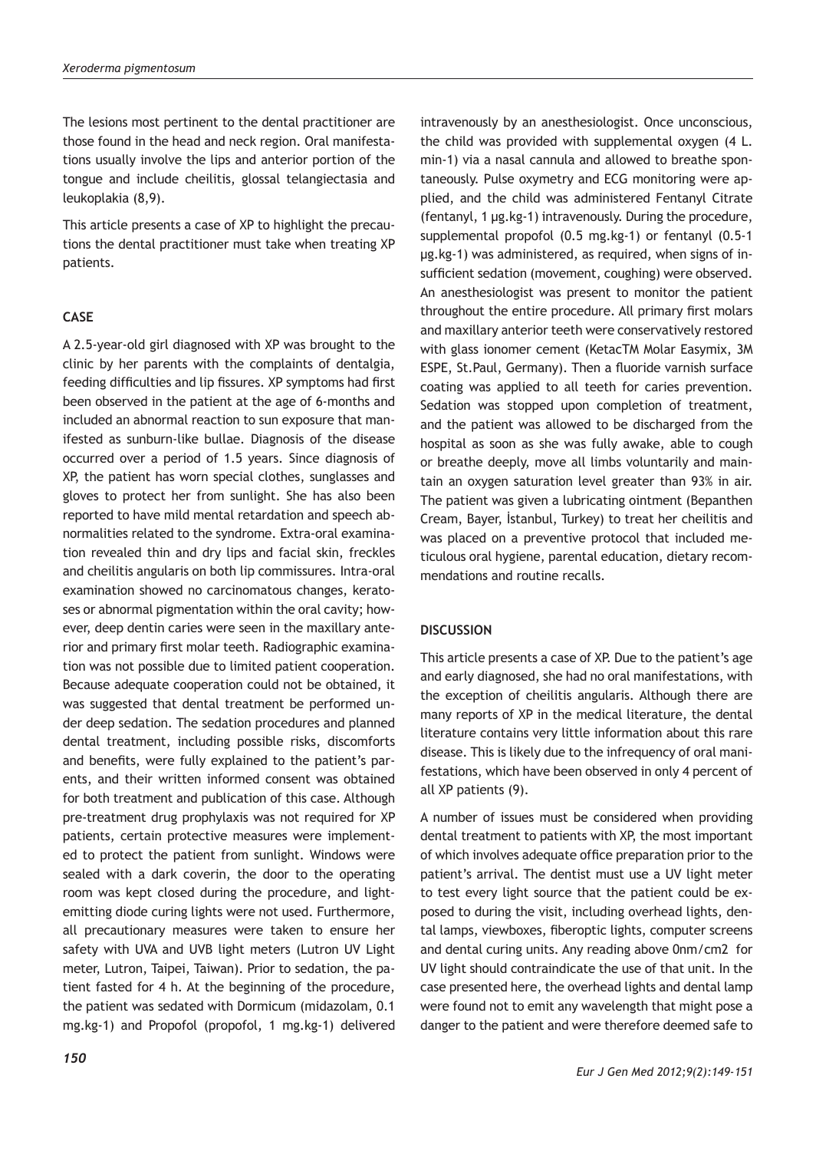The lesions most pertinent to the dental practitioner are those found in the head and neck region. Oral manifestations usually involve the lips and anterior portion of the tongue and include cheilitis, glossal telangiectasia and leukoplakia (8,9).

This article presents a case of XP to highlight the precautions the dental practitioner must take when treating XP patients.

## **CASE**

A 2.5-year-old girl diagnosed with XP was brought to the clinic by her parents with the complaints of dentalgia, feeding difficulties and lip fissures. XP symptoms had first been observed in the patient at the age of 6-months and included an abnormal reaction to sun exposure that manifested as sunburn-like bullae. Diagnosis of the disease occurred over a period of 1.5 years. Since diagnosis of XP, the patient has worn special clothes, sunglasses and gloves to protect her from sunlight. She has also been reported to have mild mental retardation and speech abnormalities related to the syndrome. Extra-oral examination revealed thin and dry lips and facial skin, freckles and cheilitis angularis on both lip commissures. Intra-oral examination showed no carcinomatous changes, keratoses or abnormal pigmentation within the oral cavity; however, deep dentin caries were seen in the maxillary anterior and primary first molar teeth. Radiographic examination was not possible due to limited patient cooperation. Because adequate cooperation could not be obtained, it was suggested that dental treatment be performed under deep sedation. The sedation procedures and planned dental treatment, including possible risks, discomforts and benefits, were fully explained to the patient's parents, and their written informed consent was obtained for both treatment and publication of this case. Although pre-treatment drug prophylaxis was not required for XP patients, certain protective measures were implemented to protect the patient from sunlight. Windows were sealed with a dark coverin, the door to the operating room was kept closed during the procedure, and lightemitting diode curing lights were not used. Furthermore, all precautionary measures were taken to ensure her safety with UVA and UVB light meters (Lutron UV Light meter, Lutron, Taipei, Taiwan). Prior to sedation, the patient fasted for 4 h. At the beginning of the procedure, the patient was sedated with Dormicum (midazolam, 0.1 mg.kg-1) and Propofol (propofol, 1 mg.kg-1) delivered

the child was provided with supplemental oxygen (4 L. min-1) via a nasal cannula and allowed to breathe spontaneously. Pulse oxymetry and ECG monitoring were applied, and the child was administered Fentanyl Citrate (fentanyl, 1 µg.kg-1) intravenously. During the procedure, supplemental propofol (0.5 mg.kg-1) or fentanyl (0.5-1 µg.kg-1) was administered, as required, when signs of insufficient sedation (movement, coughing) were observed. An anesthesiologist was present to monitor the patient throughout the entire procedure. All primary first molars and maxillary anterior teeth were conservatively restored with glass ionomer cement (KetacTM Molar Easymix, 3M ESPE, St.Paul, Germany). Then a fluoride varnish surface coating was applied to all teeth for caries prevention. Sedation was stopped upon completion of treatment, and the patient was allowed to be discharged from the hospital as soon as she was fully awake, able to cough or breathe deeply, move all limbs voluntarily and maintain an oxygen saturation level greater than 93% in air. The patient was given a lubricating ointment (Bepanthen Cream, Bayer, İstanbul, Turkey) to treat her cheilitis and was placed on a preventive protocol that included meticulous oral hygiene, parental education, dietary recommendations and routine recalls.

intravenously by an anesthesiologist. Once unconscious,

## **DISCUSSION**

This article presents a case of XP. Due to the patient's age and early diagnosed, she had no oral manifestations, with the exception of cheilitis angularis. Although there are many reports of XP in the medical literature, the dental literature contains very little information about this rare disease. This is likely due to the infrequency of oral manifestations, which have been observed in only 4 percent of all XP patients (9).

A number of issues must be considered when providing dental treatment to patients with XP, the most important of which involves adequate office preparation prior to the patient's arrival. The dentist must use a UV light meter to test every light source that the patient could be exposed to during the visit, including overhead lights, dental lamps, viewboxes, fiberoptic lights, computer screens and dental curing units. Any reading above 0nm/cm2 for UV light should contraindicate the use of that unit. In the case presented here, the overhead lights and dental lamp were found not to emit any wavelength that might pose a danger to the patient and were therefore deemed safe to